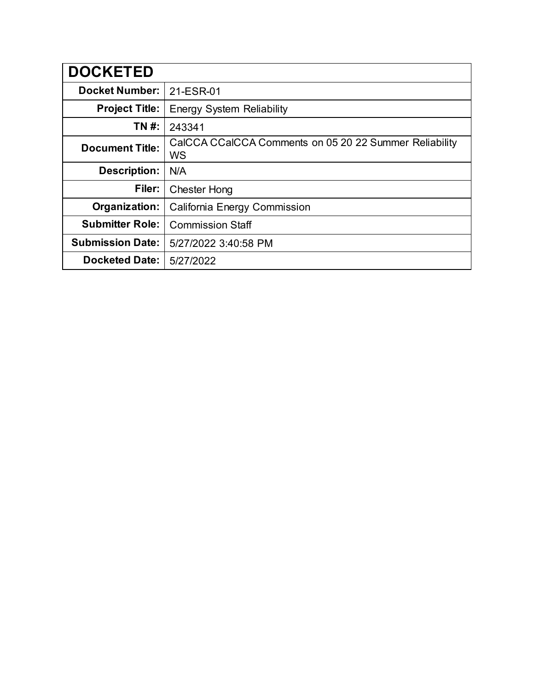| <b>DOCKETED</b>         |                                                                     |
|-------------------------|---------------------------------------------------------------------|
| <b>Docket Number:</b>   | 21-ESR-01                                                           |
| <b>Project Title:</b>   | <b>Energy System Reliability</b>                                    |
| TN #:                   | 243341                                                              |
| <b>Document Title:</b>  | CalCCA CCalCCA Comments on 05 20 22 Summer Reliability<br><b>WS</b> |
| <b>Description:</b>     | N/A                                                                 |
| Filer:                  | <b>Chester Hong</b>                                                 |
| Organization:           | California Energy Commission                                        |
| <b>Submitter Role:</b>  | <b>Commission Staff</b>                                             |
| <b>Submission Date:</b> | 5/27/2022 3:40:58 PM                                                |
| <b>Docketed Date:</b>   | 5/27/2022                                                           |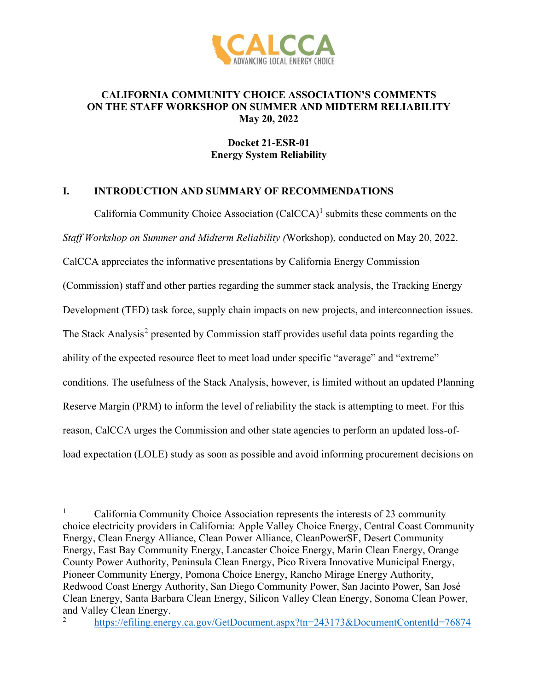

## **CALIFORNIA COMMUNITY CHOICE ASSOCIATION'S COMMENTS ON THE STAFF WORKSHOP ON SUMMER AND MIDTERM RELIABILITY May 20, 2022**

# **Docket 21-ESR-01 Energy System Reliability**

## **I. INTRODUCTION AND SUMMARY OF RECOMMENDATIONS**

California Community Choice Association  $(Ca<sup>1</sup>)<sup>1</sup>$  $(Ca<sup>1</sup>)<sup>1</sup>$  $(Ca<sup>1</sup>)<sup>1</sup>$  submits these comments on the *Staff Workshop on Summer and Midterm Reliability (*Workshop), conducted on May 20, 2022. CalCCA appreciates the informative presentations by California Energy Commission (Commission) staff and other parties regarding the summer stack analysis, the Tracking Energy Development (TED) task force, supply chain impacts on new projects, and interconnection issues. The Stack Analysis<sup>[2](#page-1-1)</sup> presented by Commission staff provides useful data points regarding the ability of the expected resource fleet to meet load under specific "average" and "extreme" conditions. The usefulness of the Stack Analysis, however, is limited without an updated Planning Reserve Margin (PRM) to inform the level of reliability the stack is attempting to meet. For this reason, CalCCA urges the Commission and other state agencies to perform an updated loss-ofload expectation (LOLE) study as soon as possible and avoid informing procurement decisions on

<span id="page-1-0"></span><sup>1</sup> California Community Choice Association represents the interests of 23 community choice electricity providers in California: Apple Valley Choice Energy, Central Coast Community Energy, Clean Energy Alliance, Clean Power Alliance, CleanPowerSF, Desert Community Energy, East Bay Community Energy, Lancaster Choice Energy, Marin Clean Energy, Orange County Power Authority, Peninsula Clean Energy, Pico Rivera Innovative Municipal Energy, Pioneer Community Energy, Pomona Choice Energy, Rancho Mirage Energy Authority, Redwood Coast Energy Authority, San Diego Community Power, San Jacinto Power, San José Clean Energy, Santa Barbara Clean Energy, Silicon Valley Clean Energy, Sonoma Clean Power, and Valley Clean Energy.

<span id="page-1-1"></span><sup>2</sup> <https://efiling.energy.ca.gov/GetDocument.aspx?tn=243173&DocumentContentId=76874>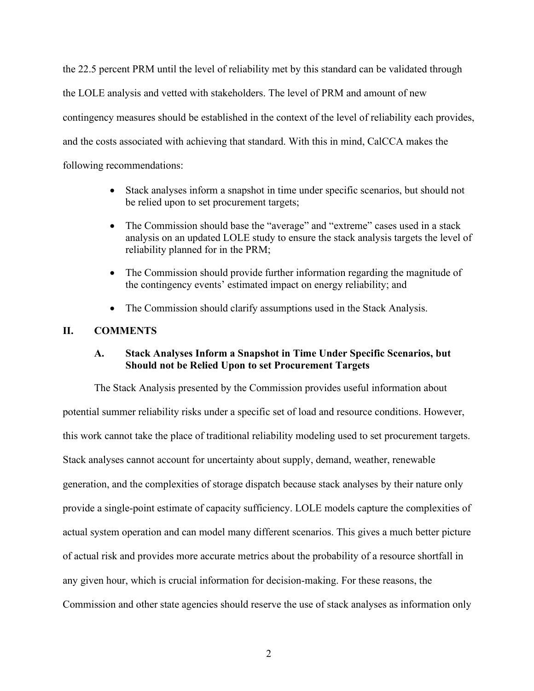the 22.5 percent PRM until the level of reliability met by this standard can be validated through the LOLE analysis and vetted with stakeholders. The level of PRM and amount of new contingency measures should be established in the context of the level of reliability each provides, and the costs associated with achieving that standard. With this in mind, CalCCA makes the following recommendations:

- Stack analyses inform a snapshot in time under specific scenarios, but should not be relied upon to set procurement targets;
- The Commission should base the "average" and "extreme" cases used in a stack analysis on an updated LOLE study to ensure the stack analysis targets the level of reliability planned for in the PRM;
- The Commission should provide further information regarding the magnitude of the contingency events' estimated impact on energy reliability; and
- The Commission should clarify assumptions used in the Stack Analysis.

# **II. COMMENTS**

# **A. Stack Analyses Inform a Snapshot in Time Under Specific Scenarios, but Should not be Relied Upon to set Procurement Targets**

The Stack Analysis presented by the Commission provides useful information about potential summer reliability risks under a specific set of load and resource conditions. However, this work cannot take the place of traditional reliability modeling used to set procurement targets. Stack analyses cannot account for uncertainty about supply, demand, weather, renewable generation, and the complexities of storage dispatch because stack analyses by their nature only provide a single-point estimate of capacity sufficiency. LOLE models capture the complexities of actual system operation and can model many different scenarios. This gives a much better picture of actual risk and provides more accurate metrics about the probability of a resource shortfall in any given hour, which is crucial information for decision-making. For these reasons, the Commission and other state agencies should reserve the use of stack analyses as information only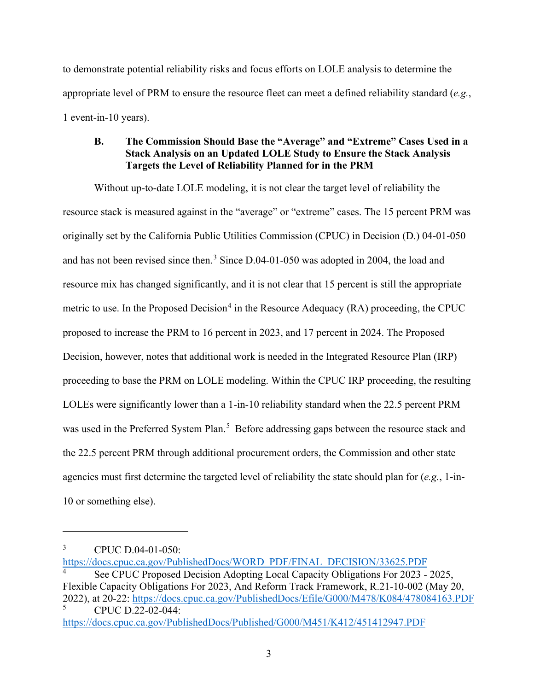to demonstrate potential reliability risks and focus efforts on LOLE analysis to determine the appropriate level of PRM to ensure the resource fleet can meet a defined reliability standard (*e.g.*, 1 event-in-10 years).

## **B. The Commission Should Base the "Average" and "Extreme" Cases Used in a Stack Analysis on an Updated LOLE Study to Ensure the Stack Analysis Targets the Level of Reliability Planned for in the PRM**

Without up-to-date LOLE modeling, it is not clear the target level of reliability the resource stack is measured against in the "average" or "extreme" cases. The 15 percent PRM was originally set by the California Public Utilities Commission (CPUC) in Decision (D.) 04-01-050 and has not been revised since then.<sup>[3](#page-3-0)</sup> Since D.04-01-050 was adopted in 2004, the load and resource mix has changed significantly, and it is not clear that 15 percent is still the appropriate metric to use. In the Proposed Decision<sup>[4](#page-3-1)</sup> in the Resource Adequacy (RA) proceeding, the CPUC proposed to increase the PRM to 16 percent in 2023, and 17 percent in 2024. The Proposed Decision, however, notes that additional work is needed in the Integrated Resource Plan (IRP) proceeding to base the PRM on LOLE modeling. Within the CPUC IRP proceeding, the resulting LOLEs were significantly lower than a 1-in-10 reliability standard when the 22.5 percent PRM was used in the Preferred System Plan.<sup>[5](#page-3-2)</sup> Before addressing gaps between the resource stack and the 22.5 percent PRM through additional procurement orders, the Commission and other state agencies must first determine the targeted level of reliability the state should plan for (*e.g.*, 1-in-10 or something else).

<span id="page-3-0"></span><sup>3</sup> CPUC D.04-01-050:

<span id="page-3-1"></span>[https://docs.cpuc.ca.gov/PublishedDocs/WORD\\_PDF/FINAL\\_DECISION/33625.PDF](https://docs.cpuc.ca.gov/PublishedDocs/WORD_PDF/FINAL_DECISION/33625.PDF) 4 See CPUC Proposed Decision Adopting Local Capacity Obligations For 2023 - 2025, Flexible Capacity Obligations For 2023, And Reform Track Framework, R.21-10-002 (May 20, 2022), at 20-22:<https://docs.cpuc.ca.gov/PublishedDocs/Efile/G000/M478/K084/478084163.PDF>5 CPUC D.22-02-044:

<span id="page-3-2"></span><https://docs.cpuc.ca.gov/PublishedDocs/Published/G000/M451/K412/451412947.PDF>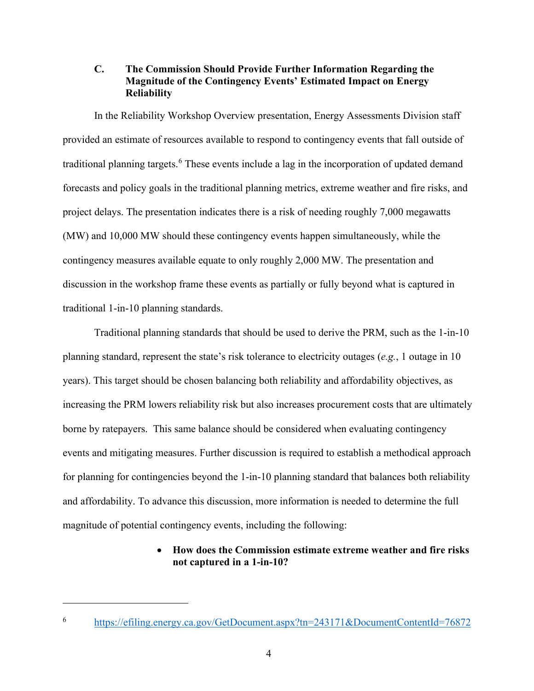## **C. The Commission Should Provide Further Information Regarding the Magnitude of the Contingency Events' Estimated Impact on Energy Reliability**

In the Reliability Workshop Overview presentation, Energy Assessments Division staff provided an estimate of resources available to respond to contingency events that fall outside of traditional planning targets.<sup>[6](#page-4-0)</sup> These events include a lag in the incorporation of updated demand forecasts and policy goals in the traditional planning metrics, extreme weather and fire risks, and project delays. The presentation indicates there is a risk of needing roughly 7,000 megawatts (MW) and 10,000 MW should these contingency events happen simultaneously, while the contingency measures available equate to only roughly 2,000 MW. The presentation and discussion in the workshop frame these events as partially or fully beyond what is captured in traditional 1-in-10 planning standards.

Traditional planning standards that should be used to derive the PRM, such as the 1-in-10 planning standard, represent the state's risk tolerance to electricity outages (*e.g.*, 1 outage in 10 years). This target should be chosen balancing both reliability and affordability objectives, as increasing the PRM lowers reliability risk but also increases procurement costs that are ultimately borne by ratepayers. This same balance should be considered when evaluating contingency events and mitigating measures. Further discussion is required to establish a methodical approach for planning for contingencies beyond the 1-in-10 planning standard that balances both reliability and affordability. To advance this discussion, more information is needed to determine the full magnitude of potential contingency events, including the following:

## • **How does the Commission estimate extreme weather and fire risks not captured in a 1-in-10?**

<span id="page-4-0"></span><sup>6</sup> <https://efiling.energy.ca.gov/GetDocument.aspx?tn=243171&DocumentContentId=76872>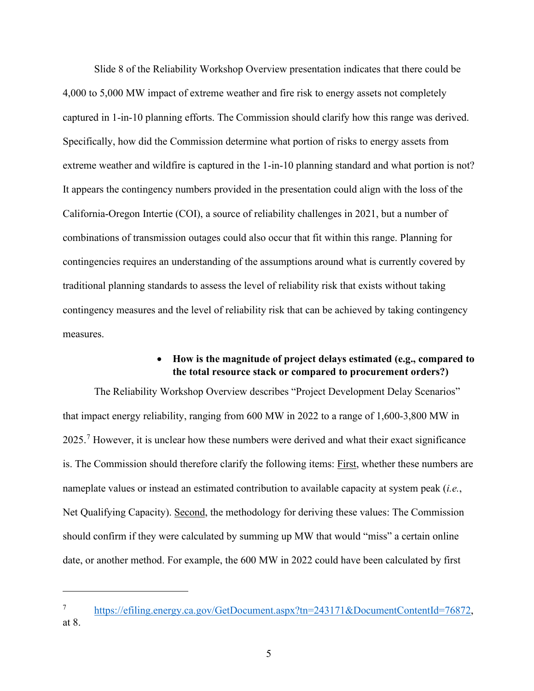Slide 8 of the Reliability Workshop Overview presentation indicates that there could be 4,000 to 5,000 MW impact of extreme weather and fire risk to energy assets not completely captured in 1-in-10 planning efforts. The Commission should clarify how this range was derived. Specifically, how did the Commission determine what portion of risks to energy assets from extreme weather and wildfire is captured in the 1-in-10 planning standard and what portion is not? It appears the contingency numbers provided in the presentation could align with the loss of the California-Oregon Intertie (COI), a source of reliability challenges in 2021, but a number of combinations of transmission outages could also occur that fit within this range. Planning for contingencies requires an understanding of the assumptions around what is currently covered by traditional planning standards to assess the level of reliability risk that exists without taking contingency measures and the level of reliability risk that can be achieved by taking contingency measures.

## • **How is the magnitude of project delays estimated (e.g., compared to the total resource stack or compared to procurement orders?)**

The Reliability Workshop Overview describes "Project Development Delay Scenarios" that impact energy reliability, ranging from 600 MW in 2022 to a range of 1,600-3,800 MW in 2025.<sup>[7](#page-5-0)</sup> However, it is unclear how these numbers were derived and what their exact significance is. The Commission should therefore clarify the following items: First, whether these numbers are nameplate values or instead an estimated contribution to available capacity at system peak (*i.e.*, Net Qualifying Capacity). Second, the methodology for deriving these values: The Commission should confirm if they were calculated by summing up MW that would "miss" a certain online date, or another method. For example, the 600 MW in 2022 could have been calculated by first

<span id="page-5-0"></span><sup>7</sup> [https://efiling.energy.ca.gov/GetDocument.aspx?tn=243171&DocumentContentId=76872,](https://efiling.energy.ca.gov/GetDocument.aspx?tn=243171&DocumentContentId=76872) at 8.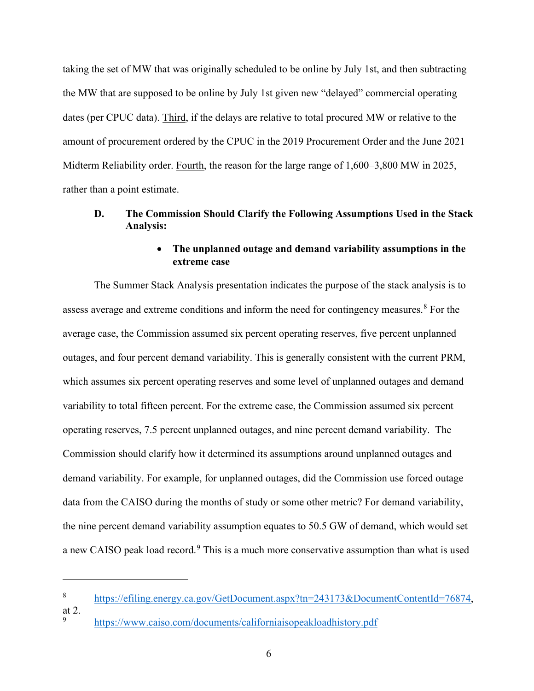taking the set of MW that was originally scheduled to be online by July 1st, and then subtracting the MW that are supposed to be online by July 1st given new "delayed" commercial operating dates (per CPUC data). Third, if the delays are relative to total procured MW or relative to the amount of procurement ordered by the CPUC in the 2019 Procurement Order and the June 2021 Midterm Reliability order. Fourth, the reason for the large range of 1,600–3,800 MW in 2025, rather than a point estimate.

## **D. The Commission Should Clarify the Following Assumptions Used in the Stack Analysis:**

## • **The unplanned outage and demand variability assumptions in the extreme case**

The Summer Stack Analysis presentation indicates the purpose of the stack analysis is to assess average and extreme conditions and inform the need for contingency measures.<sup>[8](#page-6-0)</sup> For the average case, the Commission assumed six percent operating reserves, five percent unplanned outages, and four percent demand variability. This is generally consistent with the current PRM, which assumes six percent operating reserves and some level of unplanned outages and demand variability to total fifteen percent. For the extreme case, the Commission assumed six percent operating reserves, 7.5 percent unplanned outages, and nine percent demand variability. The Commission should clarify how it determined its assumptions around unplanned outages and demand variability. For example, for unplanned outages, did the Commission use forced outage data from the CAISO during the months of study or some other metric? For demand variability, the nine percent demand variability assumption equates to 50.5 GW of demand, which would set a new CAISO peak load record.<sup>[9](#page-6-1)</sup> This is a much more conservative assumption than what is used

<span id="page-6-0"></span><sup>8</sup> [https://efiling.energy.ca.gov/GetDocument.aspx?tn=243173&DocumentContentId=76874,](https://efiling.energy.ca.gov/GetDocument.aspx?tn=243173&DocumentContentId=76874) at 2.

<span id="page-6-1"></span><sup>9</sup> <https://www.caiso.com/documents/californiaisopeakloadhistory.pdf>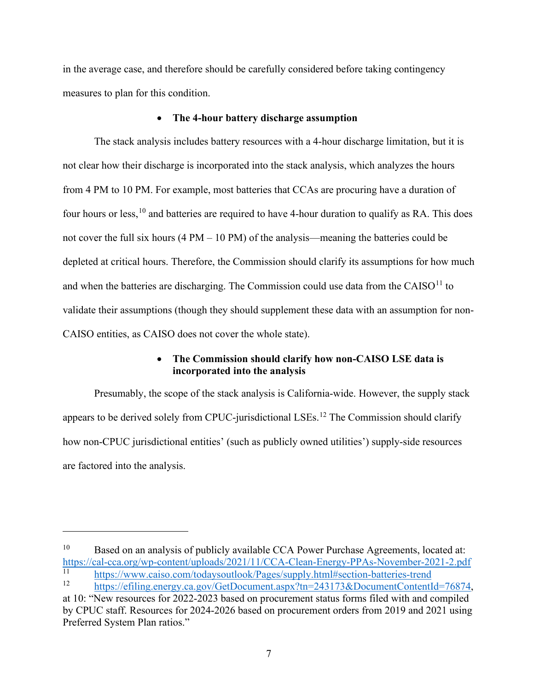in the average case, and therefore should be carefully considered before taking contingency measures to plan for this condition.

#### • **The 4-hour battery discharge assumption**

The stack analysis includes battery resources with a 4-hour discharge limitation, but it is not clear how their discharge is incorporated into the stack analysis, which analyzes the hours from 4 PM to 10 PM. For example, most batteries that CCAs are procuring have a duration of four hours or less,<sup>[10](#page-7-0)</sup> and batteries are required to have 4-hour duration to qualify as RA. This does not cover the full six hours  $(4 PM - 10 PM)$  of the analysis—meaning the batteries could be depleted at critical hours. Therefore, the Commission should clarify its assumptions for how much and when the batteries are discharging. The Commission could use data from the CAISO $^{11}$  to validate their assumptions (though they should supplement these data with an assumption for non-CAISO entities, as CAISO does not cover the whole state).

### • **The Commission should clarify how non-CAISO LSE data is incorporated into the analysis**

Presumably, the scope of the stack analysis is California-wide. However, the supply stack appears to be derived solely from CPUC-jurisdictional LSEs.<sup>12</sup> The Commission should clarify how non-CPUC jurisdictional entities' (such as publicly owned utilities') supply-side resources are factored into the analysis.

<span id="page-7-0"></span><sup>&</sup>lt;sup>10</sup> Based on an analysis of publicly available CCA Power Purchase Agreements, located at: <https://cal-cca.org/wp-content/uploads/2021/11/CCA-Clean-Energy-PPAs-November-2021-2.pdf>

<span id="page-7-1"></span><sup>11</sup> https://www.caiso.com/todaysoutlook/Pages/supply.html#section-batteries-trend<br>12 [https://efiling.energy.ca.gov/GetDocument.aspx?tn=243173&DocumentContentId=76874,](https://efiling.energy.ca.gov/GetDocument.aspx?tn=243173&DocumentContentId=76874)

<span id="page-7-2"></span>at 10: "New resources for 2022-2023 based on procurement status forms filed with and compiled by CPUC staff. Resources for 2024-2026 based on procurement orders from 2019 and 2021 using Preferred System Plan ratios."